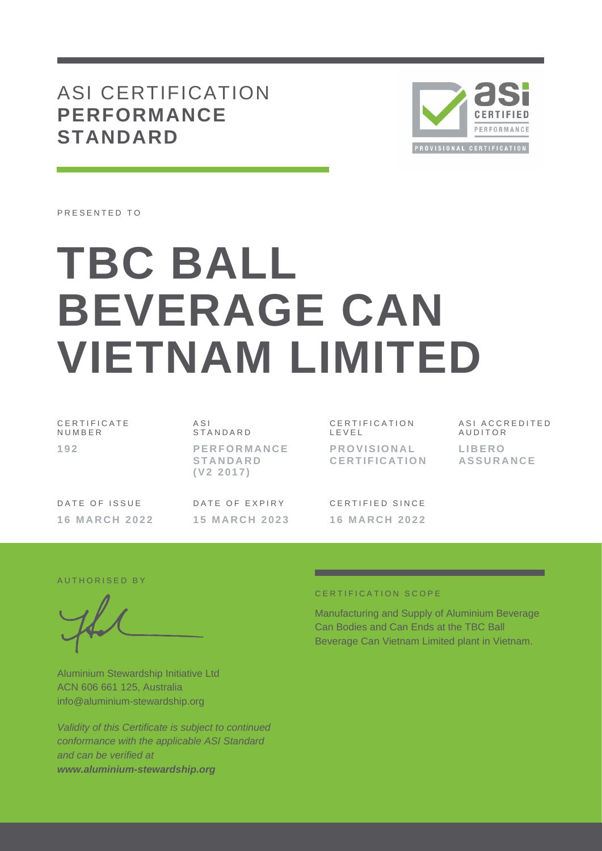# ASI CERTIFICATION **PERFORMANCE STANDARD**



PRESENTED TO

# **TBC BALL BEVERAGE CAN VIETNAM LIMITED**

C E R T I F I C A T E N U M B E R **1 9 2**

A S I **STANDARD P E R F O R M A N C E S T A N D A R D ( V 2 2 0 1 7 )**

C E R T I F I C A T I O N L E V E L **P R O V I S I O N A L C E R T I F I C A T I O N**

A S I A C C R E D I T E D **AUDITOR L I B E R O A S S U R A N C E**

DATE OF ISSUE **1 6 M A R C H 2 0 2 2** DATE OF EXPIRY **1 5 M A R C H 2 0 2 3**

CERTIFIED SINCE **1 6 M A R C H 2 0 2 2**

#### AUTHORISED BY

Aluminium Stewardship Initiative Ltd ACN 606 661 125, Australia info@aluminium-stewardship.org

*Validity of this Certificate is subject to continued conformance with the applicable ASI Standard and can be verified at www.aluminium-stewardship.org*

#### C E R T I F I C A T I O N S C O P F

Manufacturing and Supply of Aluminium Beverage Can Bodies and Can Ends at the TBC Ball Beverage Can Vietnam Limited plant in Vietnam.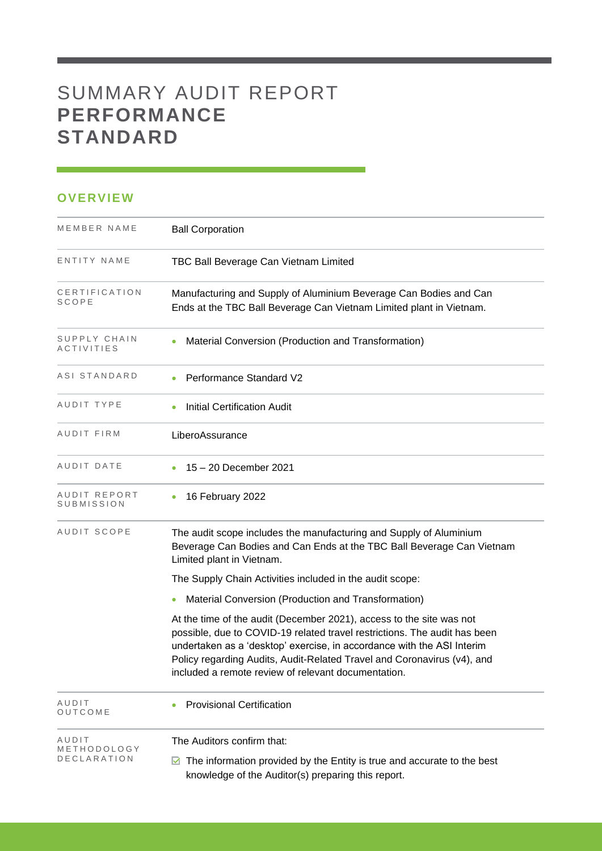# SUMMARY AUDIT REPORT **PERFORMANCE STANDARD**

## **OVERVIEW**

| MEMBER NAME                       | <b>Ball Corporation</b>                                                                                                                                                                                                                                                                                                                                       |
|-----------------------------------|---------------------------------------------------------------------------------------------------------------------------------------------------------------------------------------------------------------------------------------------------------------------------------------------------------------------------------------------------------------|
| ENTITY NAME                       | TBC Ball Beverage Can Vietnam Limited                                                                                                                                                                                                                                                                                                                         |
| CERTIFICATION<br>SCOPE            | Manufacturing and Supply of Aluminium Beverage Can Bodies and Can<br>Ends at the TBC Ball Beverage Can Vietnam Limited plant in Vietnam.                                                                                                                                                                                                                      |
| SUPPLY CHAIN<br><b>ACTIVITIES</b> | Material Conversion (Production and Transformation)                                                                                                                                                                                                                                                                                                           |
| ASI STANDARD                      | <b>Performance Standard V2</b>                                                                                                                                                                                                                                                                                                                                |
| AUDIT TYPE                        | <b>Initial Certification Audit</b>                                                                                                                                                                                                                                                                                                                            |
| AUDIT FIRM                        | LiberoAssurance                                                                                                                                                                                                                                                                                                                                               |
| AUDIT DATE                        | 15 - 20 December 2021                                                                                                                                                                                                                                                                                                                                         |
| AUDIT REPORT<br><b>SUBMISSION</b> | 16 February 2022                                                                                                                                                                                                                                                                                                                                              |
| AUDIT SCOPE                       | The audit scope includes the manufacturing and Supply of Aluminium<br>Beverage Can Bodies and Can Ends at the TBC Ball Beverage Can Vietnam<br>Limited plant in Vietnam.                                                                                                                                                                                      |
|                                   | The Supply Chain Activities included in the audit scope:                                                                                                                                                                                                                                                                                                      |
|                                   | Material Conversion (Production and Transformation)                                                                                                                                                                                                                                                                                                           |
|                                   | At the time of the audit (December 2021), access to the site was not<br>possible, due to COVID-19 related travel restrictions. The audit has been<br>undertaken as a 'desktop' exercise, in accordance with the ASI Interim<br>Policy regarding Audits, Audit-Related Travel and Coronavirus (v4), and<br>included a remote review of relevant documentation. |
| AUDIT<br>OUTCOME                  | <b>Provisional Certification</b>                                                                                                                                                                                                                                                                                                                              |
| AUDIT                             | The Auditors confirm that:                                                                                                                                                                                                                                                                                                                                    |
| METHODOLOGY<br>DECLARATION        | The information provided by the Entity is true and accurate to the best<br>M<br>knowledge of the Auditor(s) preparing this report.                                                                                                                                                                                                                            |

and the control of the control of the control of the control of the control of the control of the control of the control of the control of the control of the control of the control of the control of the control of the cont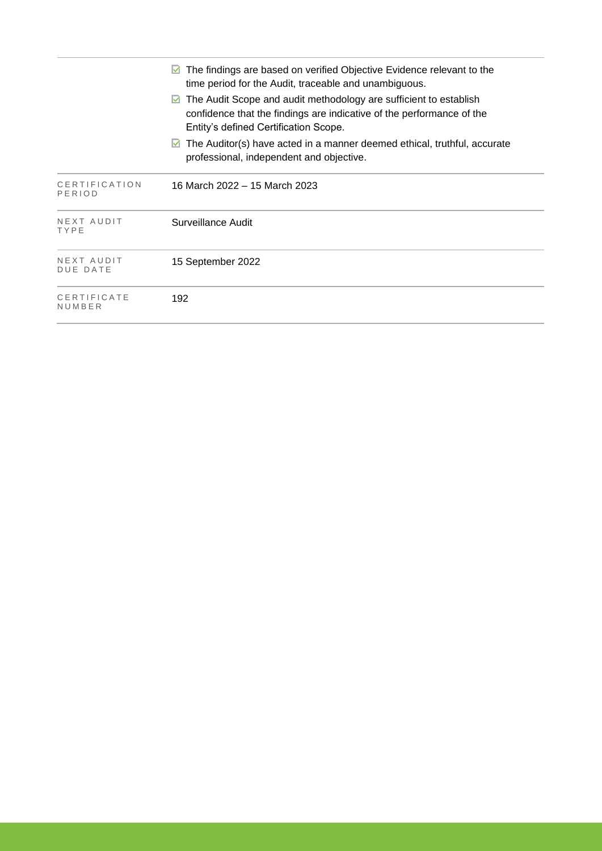|                               | The findings are based on verified Objective Evidence relevant to the<br>time period for the Audit, traceable and unambiguous.<br>The Audit Scope and audit methodology are sufficient to establish<br>$\blacktriangledown$<br>confidence that the findings are indicative of the performance of the<br>Entity's defined Certification Scope.<br>The Auditor(s) have acted in a manner deemed ethical, truthful, accurate<br>M<br>professional, independent and objective. |
|-------------------------------|----------------------------------------------------------------------------------------------------------------------------------------------------------------------------------------------------------------------------------------------------------------------------------------------------------------------------------------------------------------------------------------------------------------------------------------------------------------------------|
| CERTIFICATION<br>PERIOD       | 16 March 2022 – 15 March 2023                                                                                                                                                                                                                                                                                                                                                                                                                                              |
| NEXT AUDIT<br>TYPE            | Surveillance Audit                                                                                                                                                                                                                                                                                                                                                                                                                                                         |
| NEXT AUDIT<br><b>DUE DATE</b> | 15 September 2022                                                                                                                                                                                                                                                                                                                                                                                                                                                          |
| CERTIFICATE<br>NUMBER         | 192                                                                                                                                                                                                                                                                                                                                                                                                                                                                        |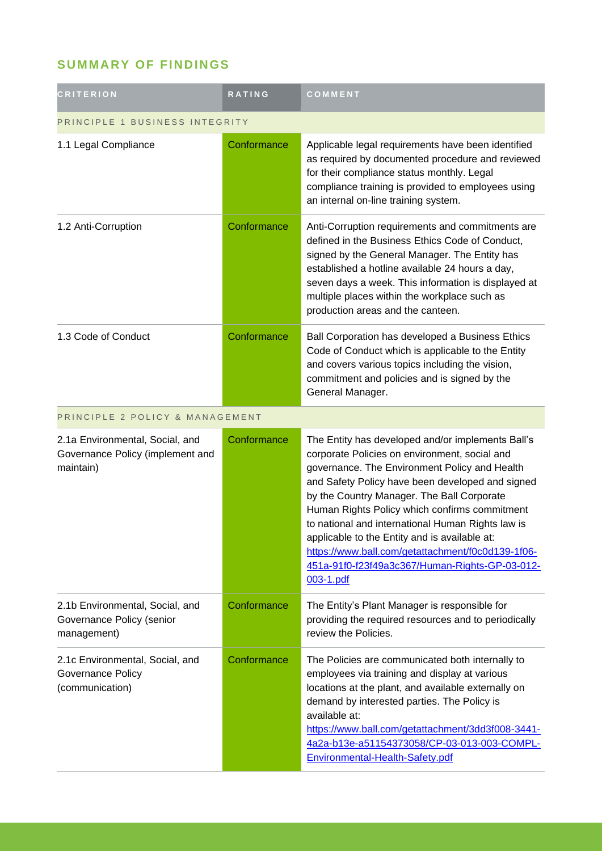## **SUMMARY OF FINDINGS**

| <b>CRITERION</b>                                                                 | <b>RATING</b> | COMMENT                                                                                                                                                                                                                                                                                                                                                                                                                                                                                                                          |  |
|----------------------------------------------------------------------------------|---------------|----------------------------------------------------------------------------------------------------------------------------------------------------------------------------------------------------------------------------------------------------------------------------------------------------------------------------------------------------------------------------------------------------------------------------------------------------------------------------------------------------------------------------------|--|
| PRINCIPLE 1 BUSINESS INTEGRITY                                                   |               |                                                                                                                                                                                                                                                                                                                                                                                                                                                                                                                                  |  |
| 1.1 Legal Compliance                                                             | Conformance   | Applicable legal requirements have been identified<br>as required by documented procedure and reviewed<br>for their compliance status monthly. Legal<br>compliance training is provided to employees using<br>an internal on-line training system.                                                                                                                                                                                                                                                                               |  |
| 1.2 Anti-Corruption                                                              | Conformance   | Anti-Corruption requirements and commitments are<br>defined in the Business Ethics Code of Conduct,<br>signed by the General Manager. The Entity has<br>established a hotline available 24 hours a day,<br>seven days a week. This information is displayed at<br>multiple places within the workplace such as<br>production areas and the canteen.                                                                                                                                                                              |  |
| 1.3 Code of Conduct                                                              | Conformance   | Ball Corporation has developed a Business Ethics<br>Code of Conduct which is applicable to the Entity<br>and covers various topics including the vision,<br>commitment and policies and is signed by the<br>General Manager.                                                                                                                                                                                                                                                                                                     |  |
| PRINCIPLE 2 POLICY & MANAGEMENT                                                  |               |                                                                                                                                                                                                                                                                                                                                                                                                                                                                                                                                  |  |
| 2.1a Environmental, Social, and<br>Governance Policy (implement and<br>maintain) | Conformance   | The Entity has developed and/or implements Ball's<br>corporate Policies on environment, social and<br>governance. The Environment Policy and Health<br>and Safety Policy have been developed and signed<br>by the Country Manager. The Ball Corporate<br>Human Rights Policy which confirms commitment<br>to national and international Human Rights law is<br>applicable to the Entity and is available at:<br>https://www.ball.com/getattachment/f0c0d139-1f06-<br>451a-91f0-f23f49a3c367/Human-Rights-GP-03-012-<br>003-1.pdf |  |
| 2.1b Environmental, Social, and<br>Governance Policy (senior<br>management)      | Conformance   | The Entity's Plant Manager is responsible for<br>providing the required resources and to periodically<br>review the Policies.                                                                                                                                                                                                                                                                                                                                                                                                    |  |
| 2.1c Environmental, Social, and<br>Governance Policy<br>(communication)          | Conformance   | The Policies are communicated both internally to<br>employees via training and display at various<br>locations at the plant, and available externally on<br>demand by interested parties. The Policy is<br>available at:<br>https://www.ball.com/getattachment/3dd3f008-3441-<br>4a2a-b13e-a51154373058/CP-03-013-003-COMPL-<br>Environmental-Health-Safety.pdf                                                                                                                                                                  |  |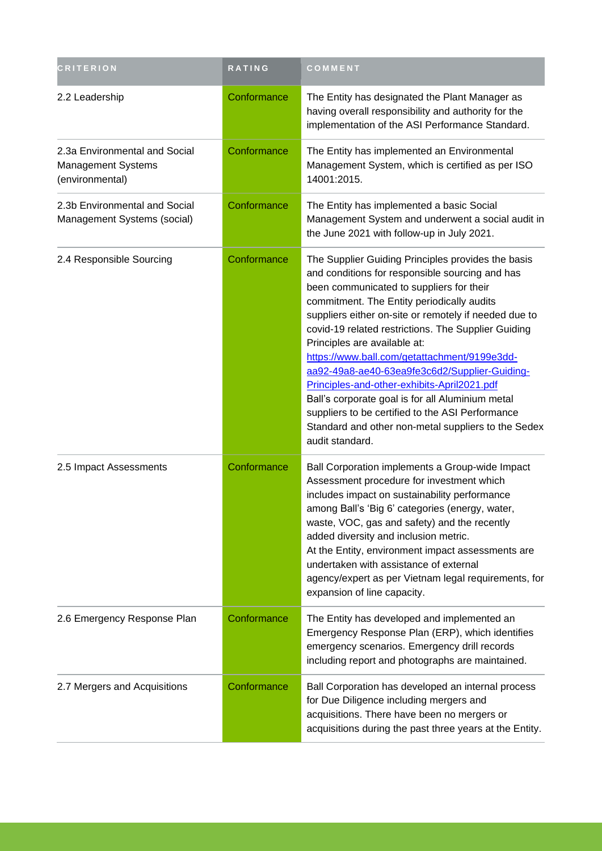| <b>CRITERION</b>                                                       | <b>RATING</b> | COMMENT                                                                                                                                                                                                                                                                                                                                                                                                                                                                                                                                                                                                                                                                           |
|------------------------------------------------------------------------|---------------|-----------------------------------------------------------------------------------------------------------------------------------------------------------------------------------------------------------------------------------------------------------------------------------------------------------------------------------------------------------------------------------------------------------------------------------------------------------------------------------------------------------------------------------------------------------------------------------------------------------------------------------------------------------------------------------|
| 2.2 Leadership                                                         | Conformance   | The Entity has designated the Plant Manager as<br>having overall responsibility and authority for the<br>implementation of the ASI Performance Standard.                                                                                                                                                                                                                                                                                                                                                                                                                                                                                                                          |
| 2.3a Environmental and Social<br>Management Systems<br>(environmental) | Conformance   | The Entity has implemented an Environmental<br>Management System, which is certified as per ISO<br>14001:2015.                                                                                                                                                                                                                                                                                                                                                                                                                                                                                                                                                                    |
| 2.3b Environmental and Social<br>Management Systems (social)           | Conformance   | The Entity has implemented a basic Social<br>Management System and underwent a social audit in<br>the June 2021 with follow-up in July 2021.                                                                                                                                                                                                                                                                                                                                                                                                                                                                                                                                      |
| 2.4 Responsible Sourcing                                               | Conformance   | The Supplier Guiding Principles provides the basis<br>and conditions for responsible sourcing and has<br>been communicated to suppliers for their<br>commitment. The Entity periodically audits<br>suppliers either on-site or remotely if needed due to<br>covid-19 related restrictions. The Supplier Guiding<br>Principles are available at:<br>https://www.ball.com/getattachment/9199e3dd-<br>aa92-49a8-ae40-63ea9fe3c6d2/Supplier-Guiding-<br>Principles-and-other-exhibits-April2021.pdf<br>Ball's corporate goal is for all Aluminium metal<br>suppliers to be certified to the ASI Performance<br>Standard and other non-metal suppliers to the Sedex<br>audit standard. |
| 2.5 Impact Assessments                                                 | Conformance   | Ball Corporation implements a Group-wide Impact<br>Assessment procedure for investment which<br>includes impact on sustainability performance<br>among Ball's 'Big 6' categories (energy, water,<br>waste, VOC, gas and safety) and the recently<br>added diversity and inclusion metric.<br>At the Entity, environment impact assessments are<br>undertaken with assistance of external<br>agency/expert as per Vietnam legal requirements, for<br>expansion of line capacity.                                                                                                                                                                                                   |
| 2.6 Emergency Response Plan                                            | Conformance   | The Entity has developed and implemented an<br>Emergency Response Plan (ERP), which identifies<br>emergency scenarios. Emergency drill records<br>including report and photographs are maintained.                                                                                                                                                                                                                                                                                                                                                                                                                                                                                |
| 2.7 Mergers and Acquisitions                                           | Conformance   | Ball Corporation has developed an internal process<br>for Due Diligence including mergers and<br>acquisitions. There have been no mergers or<br>acquisitions during the past three years at the Entity.                                                                                                                                                                                                                                                                                                                                                                                                                                                                           |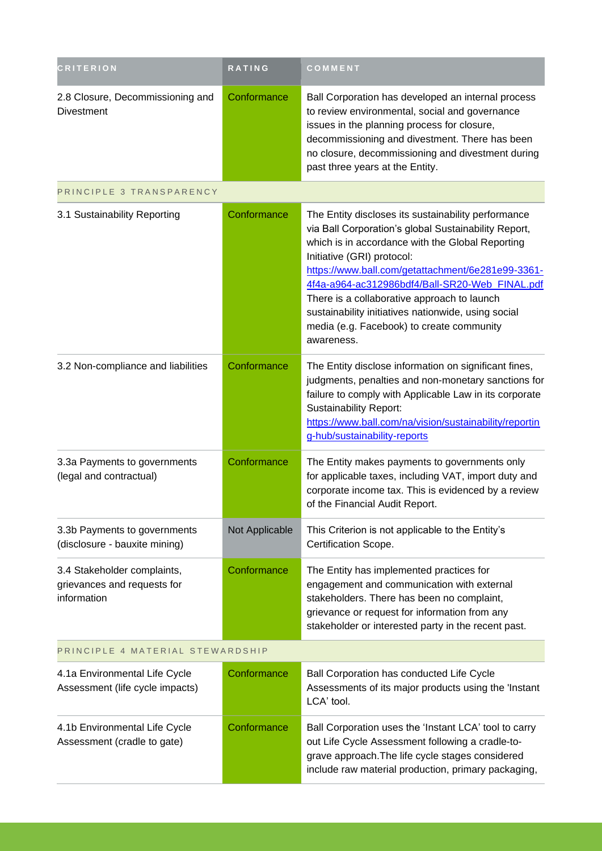| <b>CRITERION</b>                                                          | RATING         | COMMENT                                                                                                                                                                                                                                                                                                                                                                                                                                                               |  |
|---------------------------------------------------------------------------|----------------|-----------------------------------------------------------------------------------------------------------------------------------------------------------------------------------------------------------------------------------------------------------------------------------------------------------------------------------------------------------------------------------------------------------------------------------------------------------------------|--|
| 2.8 Closure, Decommissioning and<br><b>Divestment</b>                     | Conformance    | Ball Corporation has developed an internal process<br>to review environmental, social and governance<br>issues in the planning process for closure,<br>decommissioning and divestment. There has been<br>no closure, decommissioning and divestment during<br>past three years at the Entity.                                                                                                                                                                         |  |
| PRINCIPLE 3 TRANSPARENCY                                                  |                |                                                                                                                                                                                                                                                                                                                                                                                                                                                                       |  |
| 3.1 Sustainability Reporting                                              | Conformance    | The Entity discloses its sustainability performance<br>via Ball Corporation's global Sustainability Report,<br>which is in accordance with the Global Reporting<br>Initiative (GRI) protocol:<br>https://www.ball.com/getattachment/6e281e99-3361-<br>4f4a-a964-ac312986bdf4/Ball-SR20-Web_FINAL.pdf<br>There is a collaborative approach to launch<br>sustainability initiatives nationwide, using social<br>media (e.g. Facebook) to create community<br>awareness. |  |
| 3.2 Non-compliance and liabilities                                        | Conformance    | The Entity disclose information on significant fines,<br>judgments, penalties and non-monetary sanctions for<br>failure to comply with Applicable Law in its corporate<br><b>Sustainability Report:</b><br>https://www.ball.com/na/vision/sustainability/reportin<br>g-hub/sustainability-reports                                                                                                                                                                     |  |
| 3.3a Payments to governments<br>(legal and contractual)                   | Conformance    | The Entity makes payments to governments only<br>for applicable taxes, including VAT, import duty and<br>corporate income tax. This is evidenced by a review<br>of the Financial Audit Report.                                                                                                                                                                                                                                                                        |  |
| 3.3b Payments to governments<br>(disclosure - bauxite mining)             | Not Applicable | This Criterion is not applicable to the Entity's<br>Certification Scope.                                                                                                                                                                                                                                                                                                                                                                                              |  |
| 3.4 Stakeholder complaints,<br>grievances and requests for<br>information | Conformance    | The Entity has implemented practices for<br>engagement and communication with external<br>stakeholders. There has been no complaint,<br>grievance or request for information from any<br>stakeholder or interested party in the recent past.                                                                                                                                                                                                                          |  |
| PRINCIPLE 4 MATERIAL STEWARDSHIP                                          |                |                                                                                                                                                                                                                                                                                                                                                                                                                                                                       |  |
| 4.1a Environmental Life Cycle<br>Assessment (life cycle impacts)          | Conformance    | Ball Corporation has conducted Life Cycle<br>Assessments of its major products using the 'Instant<br>LCA' tool.                                                                                                                                                                                                                                                                                                                                                       |  |
| 4.1b Environmental Life Cycle<br>Assessment (cradle to gate)              | Conformance    | Ball Corporation uses the 'Instant LCA' tool to carry<br>out Life Cycle Assessment following a cradle-to-<br>grave approach. The life cycle stages considered<br>include raw material production, primary packaging,                                                                                                                                                                                                                                                  |  |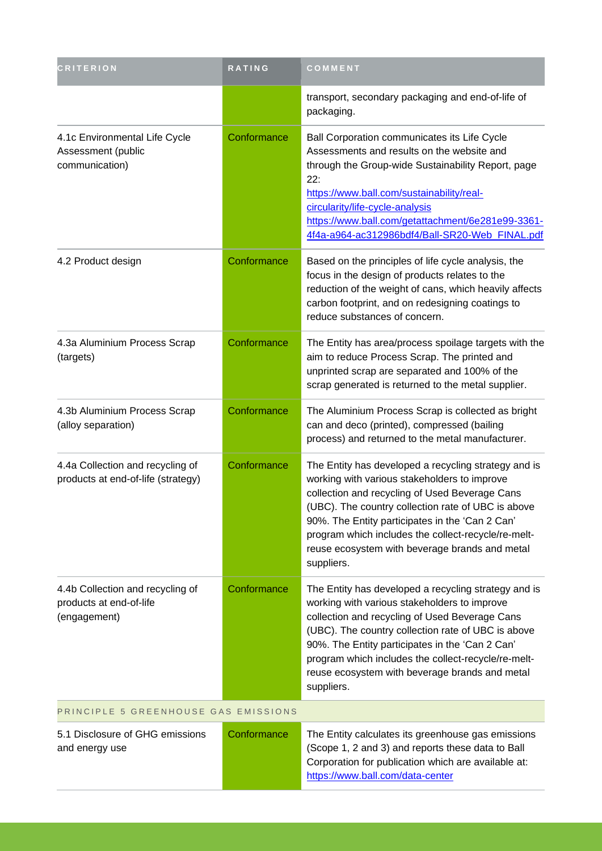| <b>CRITERION</b>                                                            | RATING      | COMMENT                                                                                                                                                                                                                                                                                                                                                                                |
|-----------------------------------------------------------------------------|-------------|----------------------------------------------------------------------------------------------------------------------------------------------------------------------------------------------------------------------------------------------------------------------------------------------------------------------------------------------------------------------------------------|
|                                                                             |             | transport, secondary packaging and end-of-life of<br>packaging.                                                                                                                                                                                                                                                                                                                        |
| 4.1c Environmental Life Cycle<br>Assessment (public<br>communication)       | Conformance | Ball Corporation communicates its Life Cycle<br>Assessments and results on the website and<br>through the Group-wide Sustainability Report, page<br>22:<br>https://www.ball.com/sustainability/real-<br>circularity/life-cycle-analysis<br>https://www.ball.com/getattachment/6e281e99-3361-<br>4f4a-a964-ac312986bdf4/Ball-SR20-Web FINAL.pdf                                         |
| 4.2 Product design                                                          | Conformance | Based on the principles of life cycle analysis, the<br>focus in the design of products relates to the<br>reduction of the weight of cans, which heavily affects<br>carbon footprint, and on redesigning coatings to<br>reduce substances of concern.                                                                                                                                   |
| 4.3a Aluminium Process Scrap<br>(targets)                                   | Conformance | The Entity has area/process spoilage targets with the<br>aim to reduce Process Scrap. The printed and<br>unprinted scrap are separated and 100% of the<br>scrap generated is returned to the metal supplier.                                                                                                                                                                           |
| 4.3b Aluminium Process Scrap<br>(alloy separation)                          | Conformance | The Aluminium Process Scrap is collected as bright<br>can and deco (printed), compressed (bailing<br>process) and returned to the metal manufacturer.                                                                                                                                                                                                                                  |
| 4.4a Collection and recycling of<br>products at end-of-life (strategy)      | Conformance | The Entity has developed a recycling strategy and is<br>working with various stakeholders to improve<br>collection and recycling of Used Beverage Cans<br>(UBC). The country collection rate of UBC is above<br>90%. The Entity participates in the 'Can 2 Can'<br>program which includes the collect-recycle/re-melt-<br>reuse ecosystem with beverage brands and metal<br>suppliers. |
| 4.4b Collection and recycling of<br>products at end-of-life<br>(engagement) | Conformance | The Entity has developed a recycling strategy and is<br>working with various stakeholders to improve<br>collection and recycling of Used Beverage Cans<br>(UBC). The country collection rate of UBC is above<br>90%. The Entity participates in the 'Can 2 Can'<br>program which includes the collect-recycle/re-melt-<br>reuse ecosystem with beverage brands and metal<br>suppliers. |
| PRINCIPLE 5 GREENHOUSE GAS EMISSIONS                                        |             |                                                                                                                                                                                                                                                                                                                                                                                        |
| 5.1 Disclosure of GHG emissions<br>and energy use                           | Conformance | The Entity calculates its greenhouse gas emissions<br>(Scope 1, 2 and 3) and reports these data to Ball<br>Corporation for publication which are available at:<br>https://www.ball.com/data-center                                                                                                                                                                                     |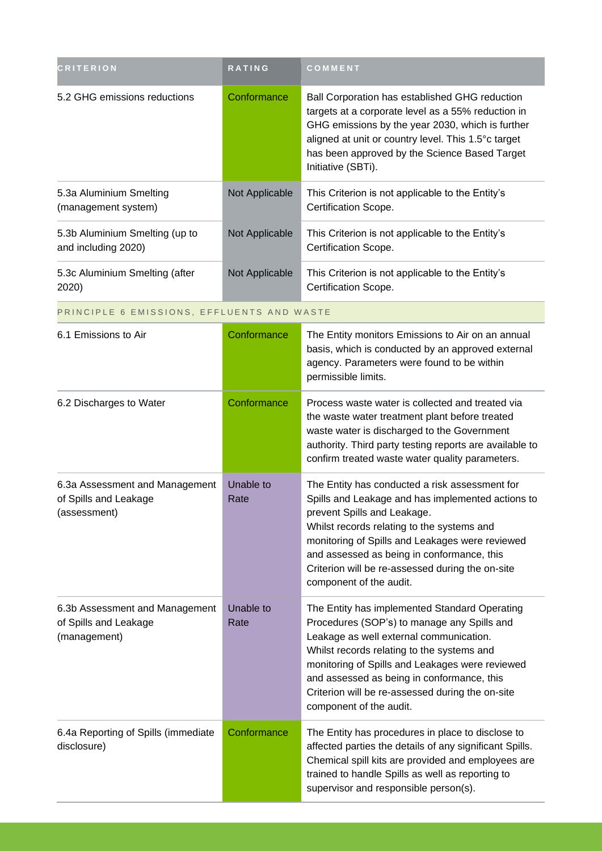| <b>CRITERION</b>                                                        | <b>RATING</b>     | COMMENT                                                                                                                                                                                                                                                                                                                                                               |
|-------------------------------------------------------------------------|-------------------|-----------------------------------------------------------------------------------------------------------------------------------------------------------------------------------------------------------------------------------------------------------------------------------------------------------------------------------------------------------------------|
| 5.2 GHG emissions reductions                                            | Conformance       | Ball Corporation has established GHG reduction<br>targets at a corporate level as a 55% reduction in<br>GHG emissions by the year 2030, which is further<br>aligned at unit or country level. This 1.5°c target<br>has been approved by the Science Based Target<br>Initiative (SBTi).                                                                                |
| 5.3a Aluminium Smelting<br>(management system)                          | Not Applicable    | This Criterion is not applicable to the Entity's<br>Certification Scope.                                                                                                                                                                                                                                                                                              |
| 5.3b Aluminium Smelting (up to<br>and including 2020)                   | Not Applicable    | This Criterion is not applicable to the Entity's<br>Certification Scope.                                                                                                                                                                                                                                                                                              |
| 5.3c Aluminium Smelting (after<br>2020)                                 | Not Applicable    | This Criterion is not applicable to the Entity's<br>Certification Scope.                                                                                                                                                                                                                                                                                              |
| PRINCIPLE 6 EMISSIONS, EFFLUENTS AND WASTE                              |                   |                                                                                                                                                                                                                                                                                                                                                                       |
| 6.1 Emissions to Air                                                    | Conformance       | The Entity monitors Emissions to Air on an annual<br>basis, which is conducted by an approved external<br>agency. Parameters were found to be within<br>permissible limits.                                                                                                                                                                                           |
| 6.2 Discharges to Water                                                 | Conformance       | Process waste water is collected and treated via<br>the waste water treatment plant before treated<br>waste water is discharged to the Government<br>authority. Third party testing reports are available to<br>confirm treated waste water quality parameters.                                                                                                       |
| 6.3a Assessment and Management<br>of Spills and Leakage<br>(assessment) | Unable to<br>Rate | The Entity has conducted a risk assessment for<br>Spills and Leakage and has implemented actions to<br>prevent Spills and Leakage.<br>Whilst records relating to the systems and<br>monitoring of Spills and Leakages were reviewed<br>and assessed as being in conformance, this<br>Criterion will be re-assessed during the on-site<br>component of the audit.      |
| 6.3b Assessment and Management<br>of Spills and Leakage<br>(management) | Unable to<br>Rate | The Entity has implemented Standard Operating<br>Procedures (SOP's) to manage any Spills and<br>Leakage as well external communication.<br>Whilst records relating to the systems and<br>monitoring of Spills and Leakages were reviewed<br>and assessed as being in conformance, this<br>Criterion will be re-assessed during the on-site<br>component of the audit. |
| 6.4a Reporting of Spills (immediate<br>disclosure)                      | Conformance       | The Entity has procedures in place to disclose to<br>affected parties the details of any significant Spills.<br>Chemical spill kits are provided and employees are<br>trained to handle Spills as well as reporting to<br>supervisor and responsible person(s).                                                                                                       |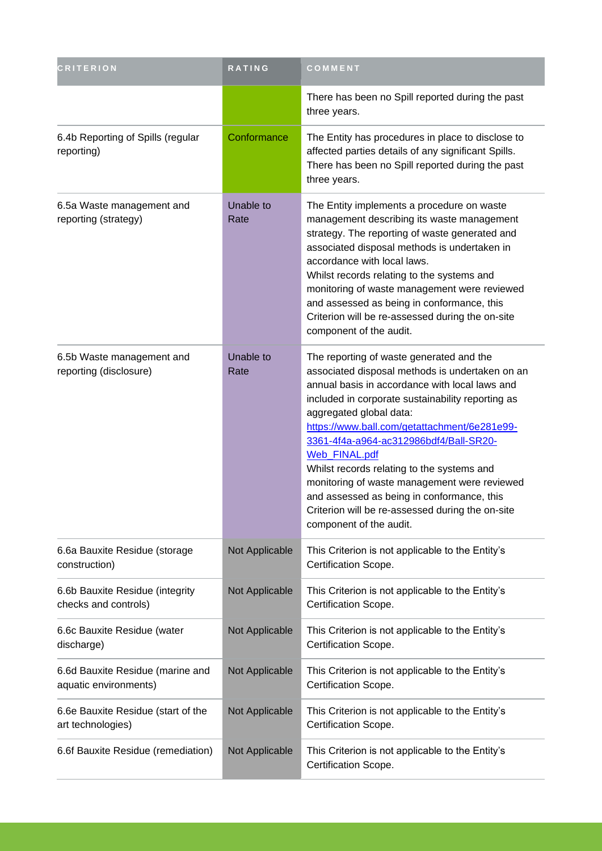| <b>CRITERION</b>                                          | RATING            | COMMENT                                                                                                                                                                                                                                                                                                                                                                                                                                                                                                                                                             |
|-----------------------------------------------------------|-------------------|---------------------------------------------------------------------------------------------------------------------------------------------------------------------------------------------------------------------------------------------------------------------------------------------------------------------------------------------------------------------------------------------------------------------------------------------------------------------------------------------------------------------------------------------------------------------|
|                                                           |                   | There has been no Spill reported during the past<br>three years.                                                                                                                                                                                                                                                                                                                                                                                                                                                                                                    |
| 6.4b Reporting of Spills (regular<br>reporting)           | Conformance       | The Entity has procedures in place to disclose to<br>affected parties details of any significant Spills.<br>There has been no Spill reported during the past<br>three years.                                                                                                                                                                                                                                                                                                                                                                                        |
| 6.5a Waste management and<br>reporting (strategy)         | Unable to<br>Rate | The Entity implements a procedure on waste<br>management describing its waste management<br>strategy. The reporting of waste generated and<br>associated disposal methods is undertaken in<br>accordance with local laws.<br>Whilst records relating to the systems and<br>monitoring of waste management were reviewed<br>and assessed as being in conformance, this<br>Criterion will be re-assessed during the on-site<br>component of the audit.                                                                                                                |
| 6.5b Waste management and<br>reporting (disclosure)       | Unable to<br>Rate | The reporting of waste generated and the<br>associated disposal methods is undertaken on an<br>annual basis in accordance with local laws and<br>included in corporate sustainability reporting as<br>aggregated global data:<br>https://www.ball.com/getattachment/6e281e99-<br>3361-4f4a-a964-ac312986bdf4/Ball-SR20-<br>Web_FINAL.pdf<br>Whilst records relating to the systems and<br>monitoring of waste management were reviewed<br>and assessed as being in conformance, this<br>Criterion will be re-assessed during the on-site<br>component of the audit. |
| 6.6a Bauxite Residue (storage<br>construction)            | Not Applicable    | This Criterion is not applicable to the Entity's<br>Certification Scope.                                                                                                                                                                                                                                                                                                                                                                                                                                                                                            |
| 6.6b Bauxite Residue (integrity<br>checks and controls)   | Not Applicable    | This Criterion is not applicable to the Entity's<br>Certification Scope.                                                                                                                                                                                                                                                                                                                                                                                                                                                                                            |
| 6.6c Bauxite Residue (water<br>discharge)                 | Not Applicable    | This Criterion is not applicable to the Entity's<br>Certification Scope.                                                                                                                                                                                                                                                                                                                                                                                                                                                                                            |
| 6.6d Bauxite Residue (marine and<br>aquatic environments) | Not Applicable    | This Criterion is not applicable to the Entity's<br>Certification Scope.                                                                                                                                                                                                                                                                                                                                                                                                                                                                                            |
| 6.6e Bauxite Residue (start of the<br>art technologies)   | Not Applicable    | This Criterion is not applicable to the Entity's<br>Certification Scope.                                                                                                                                                                                                                                                                                                                                                                                                                                                                                            |
| 6.6f Bauxite Residue (remediation)                        | Not Applicable    | This Criterion is not applicable to the Entity's<br>Certification Scope.                                                                                                                                                                                                                                                                                                                                                                                                                                                                                            |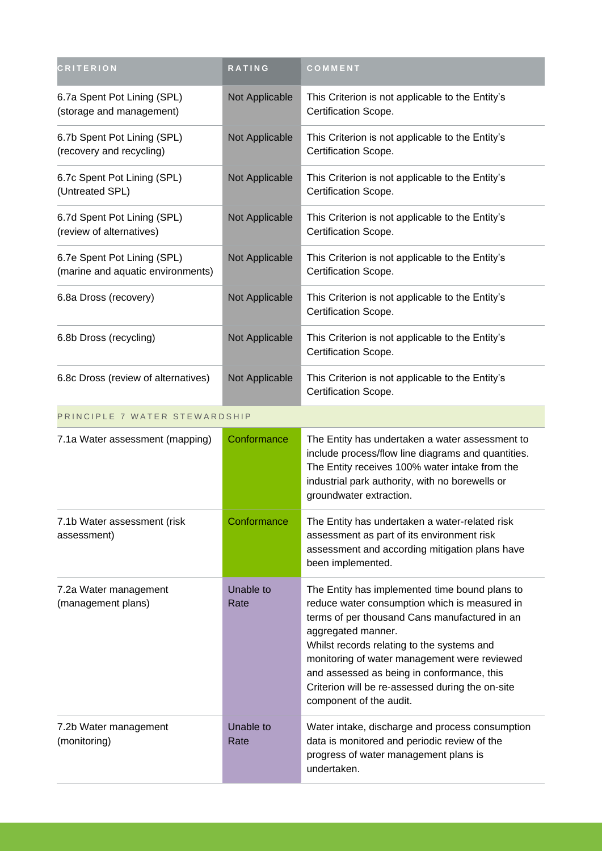| <b>CRITERION</b>                                                 | <b>RATING</b>     | COMMENT                                                                                                                                                                                                                                                                                                                                                                                           |
|------------------------------------------------------------------|-------------------|---------------------------------------------------------------------------------------------------------------------------------------------------------------------------------------------------------------------------------------------------------------------------------------------------------------------------------------------------------------------------------------------------|
| 6.7a Spent Pot Lining (SPL)<br>(storage and management)          | Not Applicable    | This Criterion is not applicable to the Entity's<br>Certification Scope.                                                                                                                                                                                                                                                                                                                          |
| 6.7b Spent Pot Lining (SPL)<br>(recovery and recycling)          | Not Applicable    | This Criterion is not applicable to the Entity's<br>Certification Scope.                                                                                                                                                                                                                                                                                                                          |
| 6.7c Spent Pot Lining (SPL)<br>(Untreated SPL)                   | Not Applicable    | This Criterion is not applicable to the Entity's<br>Certification Scope.                                                                                                                                                                                                                                                                                                                          |
| 6.7d Spent Pot Lining (SPL)<br>(review of alternatives)          | Not Applicable    | This Criterion is not applicable to the Entity's<br>Certification Scope.                                                                                                                                                                                                                                                                                                                          |
| 6.7e Spent Pot Lining (SPL)<br>(marine and aquatic environments) | Not Applicable    | This Criterion is not applicable to the Entity's<br>Certification Scope.                                                                                                                                                                                                                                                                                                                          |
| 6.8a Dross (recovery)                                            | Not Applicable    | This Criterion is not applicable to the Entity's<br>Certification Scope.                                                                                                                                                                                                                                                                                                                          |
| 6.8b Dross (recycling)                                           | Not Applicable    | This Criterion is not applicable to the Entity's<br>Certification Scope.                                                                                                                                                                                                                                                                                                                          |
| 6.8c Dross (review of alternatives)                              | Not Applicable    | This Criterion is not applicable to the Entity's<br>Certification Scope.                                                                                                                                                                                                                                                                                                                          |
| PRINCIPLE 7 WATER STEWARDSHIP                                    |                   |                                                                                                                                                                                                                                                                                                                                                                                                   |
| 7.1a Water assessment (mapping)                                  | Conformance       | The Entity has undertaken a water assessment to<br>include process/flow line diagrams and quantities.<br>The Entity receives 100% water intake from the<br>industrial park authority, with no borewells or<br>groundwater extraction.                                                                                                                                                             |
| 7.1b Water assessment (risk<br>assessment)                       | Conformance       | The Entity has undertaken a water-related risk<br>assessment as part of its environment risk<br>assessment and according mitigation plans have<br>been implemented.                                                                                                                                                                                                                               |
| 7.2a Water management<br>(management plans)                      | Unable to<br>Rate | The Entity has implemented time bound plans to<br>reduce water consumption which is measured in<br>terms of per thousand Cans manufactured in an<br>aggregated manner.<br>Whilst records relating to the systems and<br>monitoring of water management were reviewed<br>and assessed as being in conformance, this<br>Criterion will be re-assessed during the on-site<br>component of the audit. |
| 7.2b Water management<br>(monitoring)                            | Unable to<br>Rate | Water intake, discharge and process consumption<br>data is monitored and periodic review of the<br>progress of water management plans is<br>undertaken.                                                                                                                                                                                                                                           |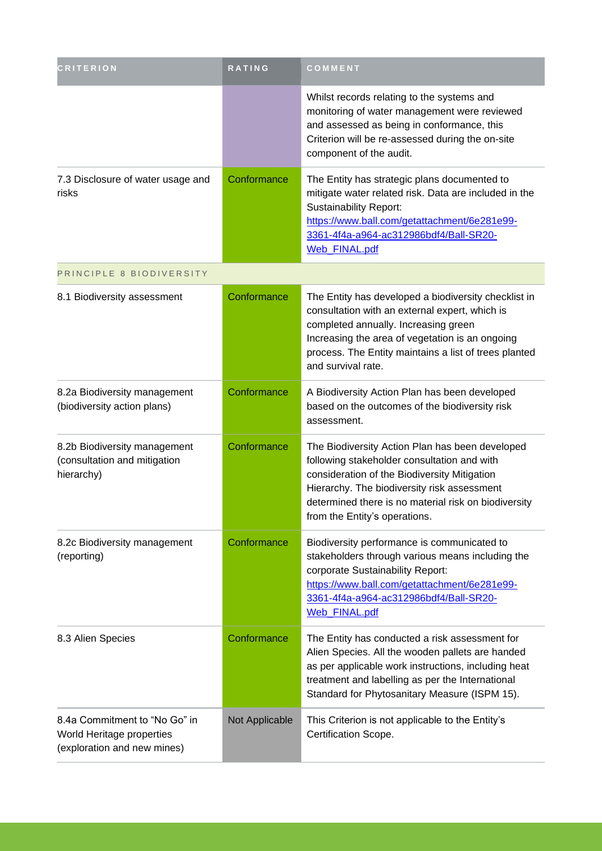| <b>CRITERION</b>                                                                          | <b>RATING</b>  | COMMENT                                                                                                                                                                                                                                                                                |
|-------------------------------------------------------------------------------------------|----------------|----------------------------------------------------------------------------------------------------------------------------------------------------------------------------------------------------------------------------------------------------------------------------------------|
|                                                                                           |                | Whilst records relating to the systems and<br>monitoring of water management were reviewed<br>and assessed as being in conformance, this<br>Criterion will be re-assessed during the on-site<br>component of the audit.                                                                |
| 7.3 Disclosure of water usage and<br>risks                                                | Conformance    | The Entity has strategic plans documented to<br>mitigate water related risk. Data are included in the<br><b>Sustainability Report:</b><br>https://www.ball.com/getattachment/6e281e99-<br>3361-4f4a-a964-ac312986bdf4/Ball-SR20-<br>Web_FINAL.pdf                                      |
| PRINCIPLE 8 BIODIVERSITY                                                                  |                |                                                                                                                                                                                                                                                                                        |
| 8.1 Biodiversity assessment                                                               | Conformance    | The Entity has developed a biodiversity checklist in<br>consultation with an external expert, which is<br>completed annually. Increasing green<br>Increasing the area of vegetation is an ongoing<br>process. The Entity maintains a list of trees planted<br>and survival rate.       |
| 8.2a Biodiversity management<br>(biodiversity action plans)                               | Conformance    | A Biodiversity Action Plan has been developed<br>based on the outcomes of the biodiversity risk<br>assessment.                                                                                                                                                                         |
| 8.2b Biodiversity management<br>(consultation and mitigation<br>hierarchy)                | Conformance    | The Biodiversity Action Plan has been developed<br>following stakeholder consultation and with<br>consideration of the Biodiversity Mitigation<br>Hierarchy. The biodiversity risk assessment<br>determined there is no material risk on biodiversity<br>from the Entity's operations. |
| 8.2c Biodiversity management<br>(reporting)                                               | Conformance    | Biodiversity performance is communicated to<br>stakeholders through various means including the<br>corporate Sustainability Report:<br>https://www.ball.com/getattachment/6e281e99-<br>3361-4f4a-a964-ac312986bdf4/Ball-SR20-<br>Web_FINAL.pdf                                         |
| 8.3 Alien Species                                                                         | Conformance    | The Entity has conducted a risk assessment for<br>Alien Species. All the wooden pallets are handed<br>as per applicable work instructions, including heat<br>treatment and labelling as per the International<br>Standard for Phytosanitary Measure (ISPM 15).                         |
| 8.4a Commitment to "No Go" in<br>World Heritage properties<br>(exploration and new mines) | Not Applicable | This Criterion is not applicable to the Entity's<br>Certification Scope.                                                                                                                                                                                                               |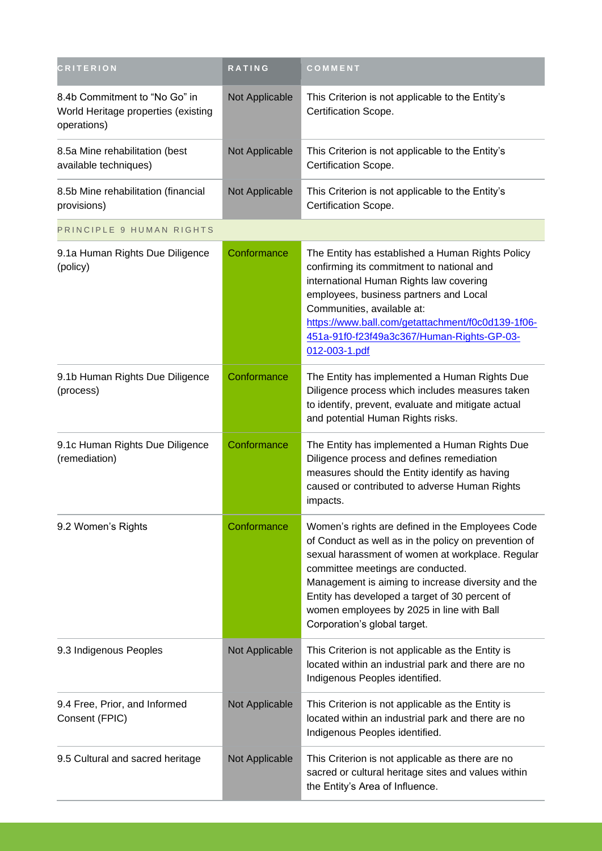| <b>CRITERION</b>                                                                    | RATING         | COMMENT                                                                                                                                                                                                                                                                                                                                                                                |
|-------------------------------------------------------------------------------------|----------------|----------------------------------------------------------------------------------------------------------------------------------------------------------------------------------------------------------------------------------------------------------------------------------------------------------------------------------------------------------------------------------------|
| 8.4b Commitment to "No Go" in<br>World Heritage properties (existing<br>operations) | Not Applicable | This Criterion is not applicable to the Entity's<br>Certification Scope.                                                                                                                                                                                                                                                                                                               |
| 8.5a Mine rehabilitation (best<br>available techniques)                             | Not Applicable | This Criterion is not applicable to the Entity's<br>Certification Scope.                                                                                                                                                                                                                                                                                                               |
| 8.5b Mine rehabilitation (financial<br>provisions)                                  | Not Applicable | This Criterion is not applicable to the Entity's<br>Certification Scope.                                                                                                                                                                                                                                                                                                               |
| PRINCIPLE 9 HUMAN RIGHTS                                                            |                |                                                                                                                                                                                                                                                                                                                                                                                        |
| 9.1a Human Rights Due Diligence<br>(policy)                                         | Conformance    | The Entity has established a Human Rights Policy<br>confirming its commitment to national and<br>international Human Rights law covering<br>employees, business partners and Local<br>Communities, available at:<br>https://www.ball.com/getattachment/f0c0d139-1f06-<br>451a-91f0-f23f49a3c367/Human-Rights-GP-03-<br>012-003-1.pdf                                                   |
| 9.1b Human Rights Due Diligence<br>(process)                                        | Conformance    | The Entity has implemented a Human Rights Due<br>Diligence process which includes measures taken<br>to identify, prevent, evaluate and mitigate actual<br>and potential Human Rights risks.                                                                                                                                                                                            |
| 9.1c Human Rights Due Diligence<br>(remediation)                                    | Conformance    | The Entity has implemented a Human Rights Due<br>Diligence process and defines remediation<br>measures should the Entity identify as having<br>caused or contributed to adverse Human Rights<br>impacts.                                                                                                                                                                               |
| 9.2 Women's Rights                                                                  | Conformance    | Women's rights are defined in the Employees Code<br>of Conduct as well as in the policy on prevention of<br>sexual harassment of women at workplace. Regular<br>committee meetings are conducted.<br>Management is aiming to increase diversity and the<br>Entity has developed a target of 30 percent of<br>women employees by 2025 in line with Ball<br>Corporation's global target. |
| 9.3 Indigenous Peoples                                                              | Not Applicable | This Criterion is not applicable as the Entity is<br>located within an industrial park and there are no<br>Indigenous Peoples identified.                                                                                                                                                                                                                                              |
| 9.4 Free, Prior, and Informed<br>Consent (FPIC)                                     | Not Applicable | This Criterion is not applicable as the Entity is<br>located within an industrial park and there are no<br>Indigenous Peoples identified.                                                                                                                                                                                                                                              |
| 9.5 Cultural and sacred heritage                                                    | Not Applicable | This Criterion is not applicable as there are no<br>sacred or cultural heritage sites and values within<br>the Entity's Area of Influence.                                                                                                                                                                                                                                             |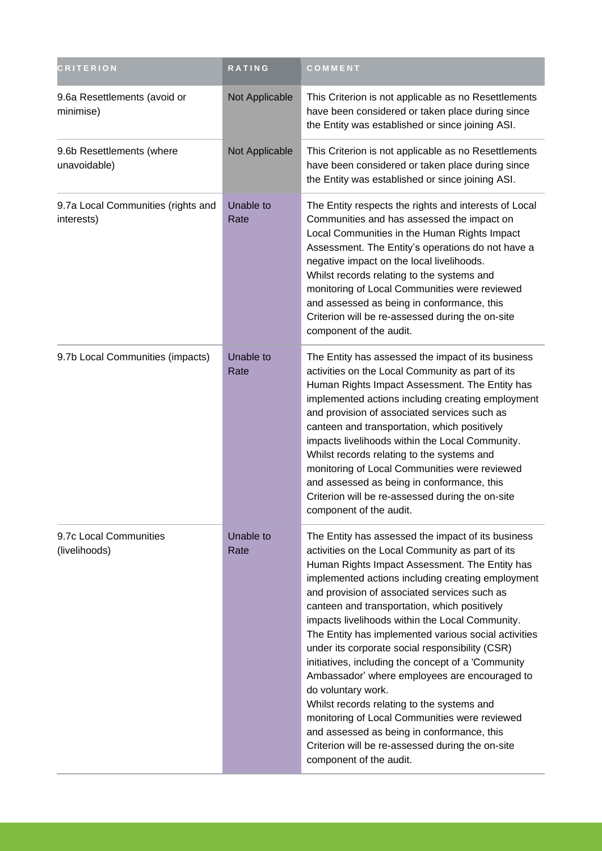| <b>CRITERION</b>                                 | RATING            | COMMENT                                                                                                                                                                                                                                                                                                                                                                                                                                                                                                                                                                                                                                                                                                                                                                                                                              |
|--------------------------------------------------|-------------------|--------------------------------------------------------------------------------------------------------------------------------------------------------------------------------------------------------------------------------------------------------------------------------------------------------------------------------------------------------------------------------------------------------------------------------------------------------------------------------------------------------------------------------------------------------------------------------------------------------------------------------------------------------------------------------------------------------------------------------------------------------------------------------------------------------------------------------------|
| 9.6a Resettlements (avoid or<br>minimise)        | Not Applicable    | This Criterion is not applicable as no Resettlements<br>have been considered or taken place during since<br>the Entity was established or since joining ASI.                                                                                                                                                                                                                                                                                                                                                                                                                                                                                                                                                                                                                                                                         |
| 9.6b Resettlements (where<br>unavoidable)        | Not Applicable    | This Criterion is not applicable as no Resettlements<br>have been considered or taken place during since<br>the Entity was established or since joining ASI.                                                                                                                                                                                                                                                                                                                                                                                                                                                                                                                                                                                                                                                                         |
| 9.7a Local Communities (rights and<br>interests) | Unable to<br>Rate | The Entity respects the rights and interests of Local<br>Communities and has assessed the impact on<br>Local Communities in the Human Rights Impact<br>Assessment. The Entity's operations do not have a<br>negative impact on the local livelihoods.<br>Whilst records relating to the systems and<br>monitoring of Local Communities were reviewed<br>and assessed as being in conformance, this<br>Criterion will be re-assessed during the on-site<br>component of the audit.                                                                                                                                                                                                                                                                                                                                                    |
| 9.7b Local Communities (impacts)                 | Unable to<br>Rate | The Entity has assessed the impact of its business<br>activities on the Local Community as part of its<br>Human Rights Impact Assessment. The Entity has<br>implemented actions including creating employment<br>and provision of associated services such as<br>canteen and transportation, which positively<br>impacts livelihoods within the Local Community.<br>Whilst records relating to the systems and<br>monitoring of Local Communities were reviewed<br>and assessed as being in conformance, this<br>Criterion will be re-assessed during the on-site<br>component of the audit.                                                                                                                                                                                                                                         |
| 9.7c Local Communities<br>(livelihoods)          | Unable to<br>Rate | The Entity has assessed the impact of its business<br>activities on the Local Community as part of its<br>Human Rights Impact Assessment. The Entity has<br>implemented actions including creating employment<br>and provision of associated services such as<br>canteen and transportation, which positively<br>impacts livelihoods within the Local Community.<br>The Entity has implemented various social activities<br>under its corporate social responsibility (CSR)<br>initiatives, including the concept of a 'Community<br>Ambassador' where employees are encouraged to<br>do voluntary work.<br>Whilst records relating to the systems and<br>monitoring of Local Communities were reviewed<br>and assessed as being in conformance, this<br>Criterion will be re-assessed during the on-site<br>component of the audit. |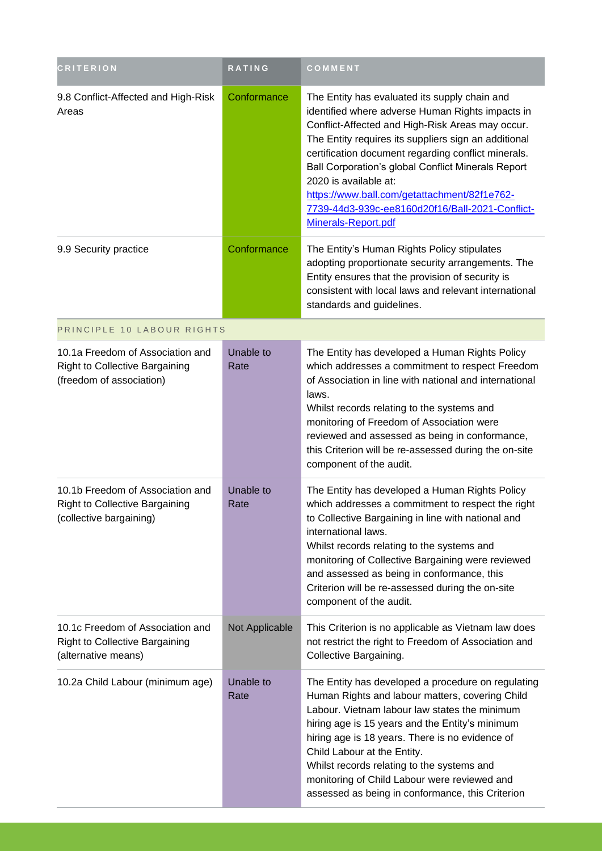| <b>CRITERION</b>                                                                                      | <b>RATING</b>     | COMMENT                                                                                                                                                                                                                                                                                                                                                                                                                                                                       |
|-------------------------------------------------------------------------------------------------------|-------------------|-------------------------------------------------------------------------------------------------------------------------------------------------------------------------------------------------------------------------------------------------------------------------------------------------------------------------------------------------------------------------------------------------------------------------------------------------------------------------------|
| 9.8 Conflict-Affected and High-Risk<br>Areas                                                          | Conformance       | The Entity has evaluated its supply chain and<br>identified where adverse Human Rights impacts in<br>Conflict-Affected and High-Risk Areas may occur.<br>The Entity requires its suppliers sign an additional<br>certification document regarding conflict minerals.<br>Ball Corporation's global Conflict Minerals Report<br>2020 is available at:<br>https://www.ball.com/getattachment/82f1e762-<br>7739-44d3-939c-ee8160d20f16/Ball-2021-Conflict-<br>Minerals-Report.pdf |
| 9.9 Security practice                                                                                 | Conformance       | The Entity's Human Rights Policy stipulates<br>adopting proportionate security arrangements. The<br>Entity ensures that the provision of security is<br>consistent with local laws and relevant international<br>standards and guidelines.                                                                                                                                                                                                                                    |
| PRINCIPLE 10 LABOUR RIGHTS                                                                            |                   |                                                                                                                                                                                                                                                                                                                                                                                                                                                                               |
| 10.1a Freedom of Association and<br><b>Right to Collective Bargaining</b><br>(freedom of association) | Unable to<br>Rate | The Entity has developed a Human Rights Policy<br>which addresses a commitment to respect Freedom<br>of Association in line with national and international<br>laws.<br>Whilst records relating to the systems and<br>monitoring of Freedom of Association were<br>reviewed and assessed as being in conformance,<br>this Criterion will be re-assessed during the on-site<br>component of the audit.                                                                         |
| 10.1b Freedom of Association and<br><b>Right to Collective Bargaining</b><br>(collective bargaining)  | Unable to<br>Rate | The Entity has developed a Human Rights Policy<br>which addresses a commitment to respect the right<br>to Collective Bargaining in line with national and<br>international laws.<br>Whilst records relating to the systems and<br>monitoring of Collective Bargaining were reviewed<br>and assessed as being in conformance, this<br>Criterion will be re-assessed during the on-site<br>component of the audit.                                                              |
| 10.1c Freedom of Association and<br><b>Right to Collective Bargaining</b><br>(alternative means)      | Not Applicable    | This Criterion is no applicable as Vietnam law does<br>not restrict the right to Freedom of Association and<br>Collective Bargaining.                                                                                                                                                                                                                                                                                                                                         |
| 10.2a Child Labour (minimum age)                                                                      | Unable to<br>Rate | The Entity has developed a procedure on regulating<br>Human Rights and labour matters, covering Child<br>Labour. Vietnam labour law states the minimum<br>hiring age is 15 years and the Entity's minimum<br>hiring age is 18 years. There is no evidence of<br>Child Labour at the Entity.<br>Whilst records relating to the systems and<br>monitoring of Child Labour were reviewed and<br>assessed as being in conformance, this Criterion                                 |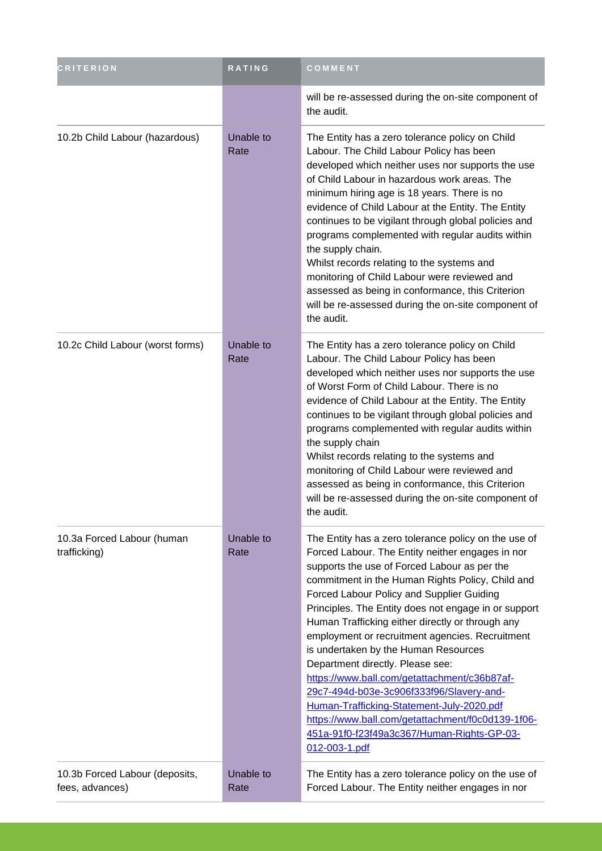| <b>CRITERION</b>                                  | RATING            | COMMENT                                                                                                                                                                                                                                                                                                                                                                                                                                                                                                                                                                                                                                                                                                                                                           |
|---------------------------------------------------|-------------------|-------------------------------------------------------------------------------------------------------------------------------------------------------------------------------------------------------------------------------------------------------------------------------------------------------------------------------------------------------------------------------------------------------------------------------------------------------------------------------------------------------------------------------------------------------------------------------------------------------------------------------------------------------------------------------------------------------------------------------------------------------------------|
|                                                   |                   | will be re-assessed during the on-site component of<br>the audit.                                                                                                                                                                                                                                                                                                                                                                                                                                                                                                                                                                                                                                                                                                 |
| 10.2b Child Labour (hazardous)                    | Unable to<br>Rate | The Entity has a zero tolerance policy on Child<br>Labour. The Child Labour Policy has been<br>developed which neither uses nor supports the use<br>of Child Labour in hazardous work areas. The<br>minimum hiring age is 18 years. There is no<br>evidence of Child Labour at the Entity. The Entity<br>continues to be vigilant through global policies and<br>programs complemented with regular audits within<br>the supply chain.<br>Whilst records relating to the systems and<br>monitoring of Child Labour were reviewed and<br>assessed as being in conformance, this Criterion<br>will be re-assessed during the on-site component of<br>the audit.                                                                                                     |
| 10.2c Child Labour (worst forms)                  | Unable to<br>Rate | The Entity has a zero tolerance policy on Child<br>Labour. The Child Labour Policy has been<br>developed which neither uses nor supports the use<br>of Worst Form of Child Labour. There is no<br>evidence of Child Labour at the Entity. The Entity<br>continues to be vigilant through global policies and<br>programs complemented with regular audits within<br>the supply chain<br>Whilst records relating to the systems and<br>monitoring of Child Labour were reviewed and<br>assessed as being in conformance, this Criterion<br>will be re-assessed during the on-site component of<br>the audit.                                                                                                                                                       |
| 10.3a Forced Labour (human<br>trafficking)        | Unable to<br>Rate | The Entity has a zero tolerance policy on the use of<br>Forced Labour. The Entity neither engages in nor<br>supports the use of Forced Labour as per the<br>commitment in the Human Rights Policy, Child and<br>Forced Labour Policy and Supplier Guiding<br>Principles. The Entity does not engage in or support<br>Human Trafficking either directly or through any<br>employment or recruitment agencies. Recruitment<br>is undertaken by the Human Resources<br>Department directly. Please see:<br>https://www.ball.com/getattachment/c36b87af-<br>29c7-494d-b03e-3c906f333f96/Slavery-and-<br>Human-Trafficking-Statement-July-2020.pdf<br>https://www.ball.com/getattachment/f0c0d139-1f06-<br>451a-91f0-f23f49a3c367/Human-Rights-GP-03-<br>012-003-1.pdf |
| 10.3b Forced Labour (deposits,<br>fees, advances) | Unable to<br>Rate | The Entity has a zero tolerance policy on the use of<br>Forced Labour. The Entity neither engages in nor                                                                                                                                                                                                                                                                                                                                                                                                                                                                                                                                                                                                                                                          |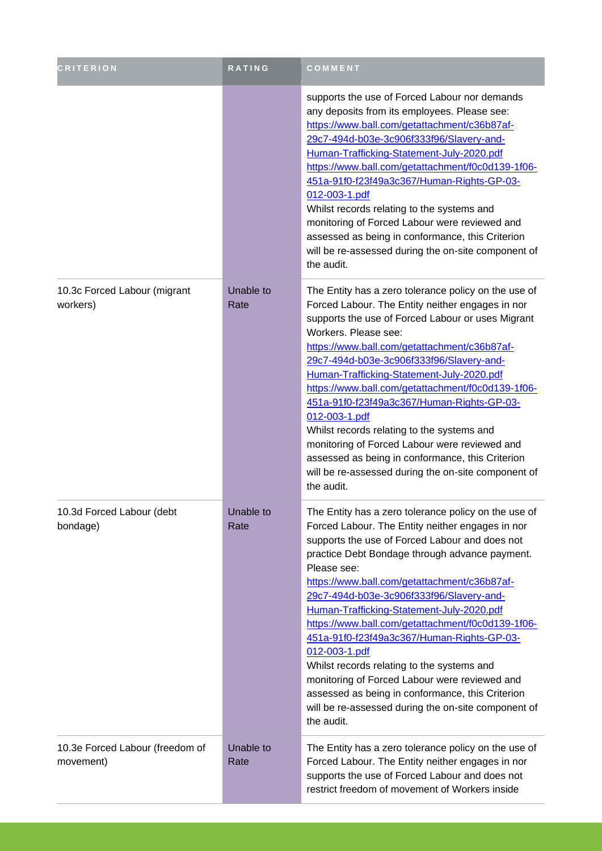| <b>CRITERION</b>                             | <b>RATING</b>            | COMMENT                                                                                                                                                                                                                                                                                                                                                                                                                                                                                                                                                                                                                                                                                                          |
|----------------------------------------------|--------------------------|------------------------------------------------------------------------------------------------------------------------------------------------------------------------------------------------------------------------------------------------------------------------------------------------------------------------------------------------------------------------------------------------------------------------------------------------------------------------------------------------------------------------------------------------------------------------------------------------------------------------------------------------------------------------------------------------------------------|
|                                              |                          | supports the use of Forced Labour nor demands<br>any deposits from its employees. Please see:<br>https://www.ball.com/getattachment/c36b87af-<br>29c7-494d-b03e-3c906f333f96/Slavery-and-<br>Human-Trafficking-Statement-July-2020.pdf<br>https://www.ball.com/getattachment/f0c0d139-1f06-<br>451a-91f0-f23f49a3c367/Human-Rights-GP-03-<br>012-003-1.pdf<br>Whilst records relating to the systems and<br>monitoring of Forced Labour were reviewed and<br>assessed as being in conformance, this Criterion<br>will be re-assessed during the on-site component of<br>the audit.                                                                                                                               |
| 10.3c Forced Labour (migrant<br>workers)     | Unable to<br>Rate        | The Entity has a zero tolerance policy on the use of<br>Forced Labour. The Entity neither engages in nor<br>supports the use of Forced Labour or uses Migrant<br>Workers. Please see:<br>https://www.ball.com/getattachment/c36b87af-<br>29c7-494d-b03e-3c906f333f96/Slavery-and-<br>Human-Trafficking-Statement-July-2020.pdf<br>https://www.ball.com/getattachment/f0c0d139-1f06-<br>451a-91f0-f23f49a3c367/Human-Rights-GP-03-<br>012-003-1.pdf<br>Whilst records relating to the systems and<br>monitoring of Forced Labour were reviewed and<br>assessed as being in conformance, this Criterion<br>will be re-assessed during the on-site component of<br>the audit.                                       |
| 10.3d Forced Labour (debt<br>bondage)        | <b>Unable to</b><br>Rate | The Entity has a zero tolerance policy on the use of<br>Forced Labour. The Entity neither engages in nor<br>supports the use of Forced Labour and does not<br>practice Debt Bondage through advance payment.<br>Please see:<br>https://www.ball.com/getattachment/c36b87af-<br>29c7-494d-b03e-3c906f333f96/Slavery-and-<br>Human-Trafficking-Statement-July-2020.pdf<br>https://www.ball.com/getattachment/f0c0d139-1f06-<br>451a-91f0-f23f49a3c367/Human-Rights-GP-03-<br>012-003-1.pdf<br>Whilst records relating to the systems and<br>monitoring of Forced Labour were reviewed and<br>assessed as being in conformance, this Criterion<br>will be re-assessed during the on-site component of<br>the audit. |
| 10.3e Forced Labour (freedom of<br>movement) | Unable to<br>Rate        | The Entity has a zero tolerance policy on the use of<br>Forced Labour. The Entity neither engages in nor<br>supports the use of Forced Labour and does not<br>restrict freedom of movement of Workers inside                                                                                                                                                                                                                                                                                                                                                                                                                                                                                                     |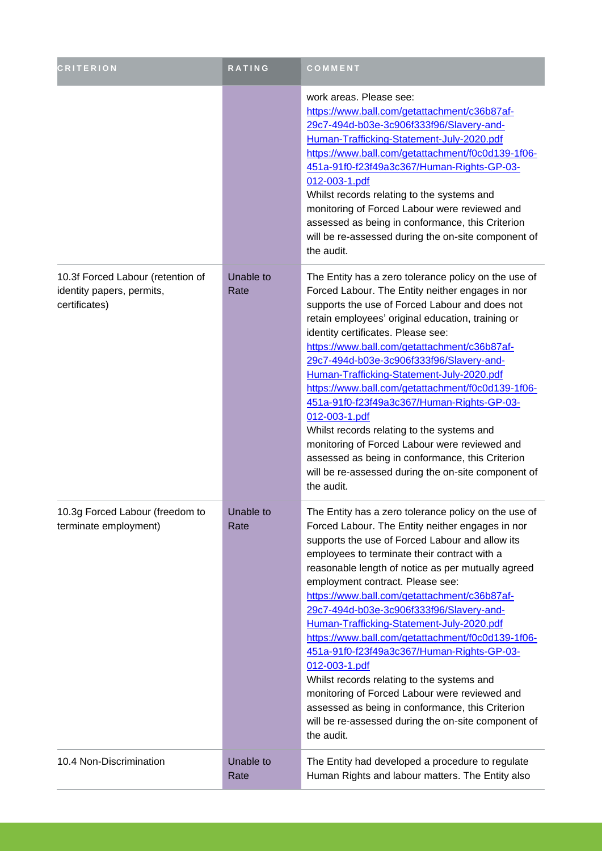| <b>CRITERION</b>                                                                | <b>RATING</b>     | COMMENT                                                                                                                                                                                                                                                                                                                                                                                                                                                                                                                                                                                                                                                                                                                                                                                    |
|---------------------------------------------------------------------------------|-------------------|--------------------------------------------------------------------------------------------------------------------------------------------------------------------------------------------------------------------------------------------------------------------------------------------------------------------------------------------------------------------------------------------------------------------------------------------------------------------------------------------------------------------------------------------------------------------------------------------------------------------------------------------------------------------------------------------------------------------------------------------------------------------------------------------|
|                                                                                 |                   | work areas. Please see:<br>https://www.ball.com/getattachment/c36b87af-<br>29c7-494d-b03e-3c906f333f96/Slavery-and-<br>Human-Trafficking-Statement-July-2020.pdf<br>https://www.ball.com/getattachment/f0c0d139-1f06-<br>451a-91f0-f23f49a3c367/Human-Rights-GP-03-<br>012-003-1.pdf<br>Whilst records relating to the systems and<br>monitoring of Forced Labour were reviewed and<br>assessed as being in conformance, this Criterion<br>will be re-assessed during the on-site component of<br>the audit.                                                                                                                                                                                                                                                                               |
| 10.3f Forced Labour (retention of<br>identity papers, permits,<br>certificates) | Unable to<br>Rate | The Entity has a zero tolerance policy on the use of<br>Forced Labour. The Entity neither engages in nor<br>supports the use of Forced Labour and does not<br>retain employees' original education, training or<br>identity certificates. Please see:<br>https://www.ball.com/getattachment/c36b87af-<br>29c7-494d-b03e-3c906f333f96/Slavery-and-<br>Human-Trafficking-Statement-July-2020.pdf<br>https://www.ball.com/getattachment/f0c0d139-1f06-<br>451a-91f0-f23f49a3c367/Human-Rights-GP-03-<br>012-003-1.pdf<br>Whilst records relating to the systems and<br>monitoring of Forced Labour were reviewed and<br>assessed as being in conformance, this Criterion<br>will be re-assessed during the on-site component of<br>the audit.                                                 |
| 10.3g Forced Labour (freedom to<br>terminate employment)                        | Unable to<br>Rate | The Entity has a zero tolerance policy on the use of<br>Forced Labour. The Entity neither engages in nor<br>supports the use of Forced Labour and allow its<br>employees to terminate their contract with a<br>reasonable length of notice as per mutually agreed<br>employment contract. Please see:<br>https://www.ball.com/getattachment/c36b87af-<br>29c7-494d-b03e-3c906f333f96/Slavery-and-<br>Human-Trafficking-Statement-July-2020.pdf<br>https://www.ball.com/getattachment/f0c0d139-1f06-<br>451a-91f0-f23f49a3c367/Human-Rights-GP-03-<br>012-003-1.pdf<br>Whilst records relating to the systems and<br>monitoring of Forced Labour were reviewed and<br>assessed as being in conformance, this Criterion<br>will be re-assessed during the on-site component of<br>the audit. |
| 10.4 Non-Discrimination                                                         | Unable to<br>Rate | The Entity had developed a procedure to regulate<br>Human Rights and labour matters. The Entity also                                                                                                                                                                                                                                                                                                                                                                                                                                                                                                                                                                                                                                                                                       |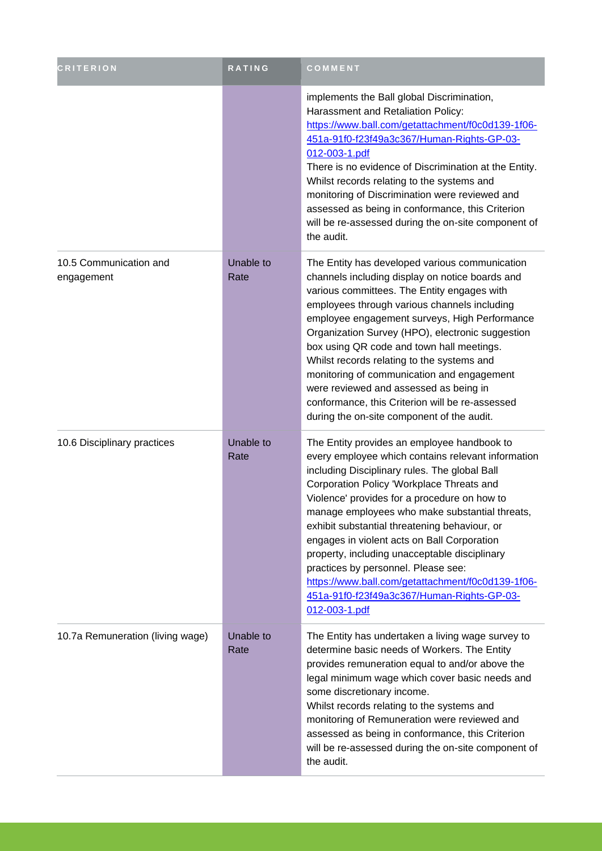| <b>CRITERION</b>                     | RATING            | COMMENT                                                                                                                                                                                                                                                                                                                                                                                                                                                                                                                                                                                                       |
|--------------------------------------|-------------------|---------------------------------------------------------------------------------------------------------------------------------------------------------------------------------------------------------------------------------------------------------------------------------------------------------------------------------------------------------------------------------------------------------------------------------------------------------------------------------------------------------------------------------------------------------------------------------------------------------------|
|                                      |                   | implements the Ball global Discrimination,<br>Harassment and Retaliation Policy:<br>https://www.ball.com/getattachment/f0c0d139-1f06-<br>451a-91f0-f23f49a3c367/Human-Rights-GP-03-<br>012-003-1.pdf<br>There is no evidence of Discrimination at the Entity.<br>Whilst records relating to the systems and<br>monitoring of Discrimination were reviewed and<br>assessed as being in conformance, this Criterion<br>will be re-assessed during the on-site component of<br>the audit.                                                                                                                        |
| 10.5 Communication and<br>engagement | Unable to<br>Rate | The Entity has developed various communication<br>channels including display on notice boards and<br>various committees. The Entity engages with<br>employees through various channels including<br>employee engagement surveys, High Performance<br>Organization Survey (HPO), electronic suggestion<br>box using QR code and town hall meetings.<br>Whilst records relating to the systems and<br>monitoring of communication and engagement<br>were reviewed and assessed as being in<br>conformance, this Criterion will be re-assessed<br>during the on-site component of the audit.                     |
| 10.6 Disciplinary practices          | Unable to<br>Rate | The Entity provides an employee handbook to<br>every employee which contains relevant information<br>including Disciplinary rules. The global Ball<br>Corporation Policy 'Workplace Threats and<br>Violence' provides for a procedure on how to<br>manage employees who make substantial threats,<br>exhibit substantial threatening behaviour, or<br>engages in violent acts on Ball Corporation<br>property, including unacceptable disciplinary<br>practices by personnel. Please see:<br>https://www.ball.com/getattachment/f0c0d139-1f06-<br>451a-91f0-f23f49a3c367/Human-Rights-GP-03-<br>012-003-1.pdf |
| 10.7a Remuneration (living wage)     | Unable to<br>Rate | The Entity has undertaken a living wage survey to<br>determine basic needs of Workers. The Entity<br>provides remuneration equal to and/or above the<br>legal minimum wage which cover basic needs and<br>some discretionary income.<br>Whilst records relating to the systems and<br>monitoring of Remuneration were reviewed and<br>assessed as being in conformance, this Criterion<br>will be re-assessed during the on-site component of<br>the audit.                                                                                                                                                   |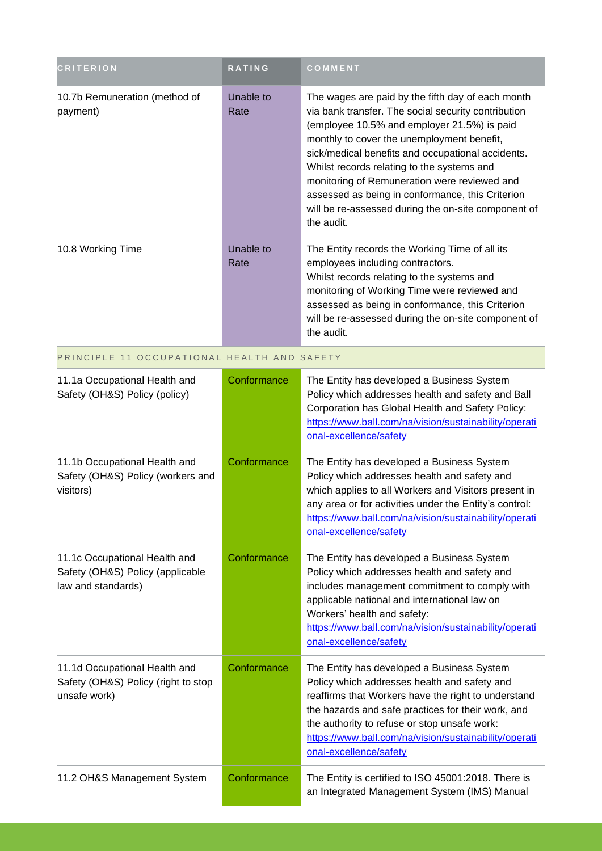| <b>CRITERION</b>                                                                        | <b>RATING</b>     | COMMENT                                                                                                                                                                                                                                                                                                                                                                                                                                                                           |
|-----------------------------------------------------------------------------------------|-------------------|-----------------------------------------------------------------------------------------------------------------------------------------------------------------------------------------------------------------------------------------------------------------------------------------------------------------------------------------------------------------------------------------------------------------------------------------------------------------------------------|
| 10.7b Remuneration (method of<br>payment)                                               | Unable to<br>Rate | The wages are paid by the fifth day of each month<br>via bank transfer. The social security contribution<br>(employee 10.5% and employer 21.5%) is paid<br>monthly to cover the unemployment benefit,<br>sick/medical benefits and occupational accidents.<br>Whilst records relating to the systems and<br>monitoring of Remuneration were reviewed and<br>assessed as being in conformance, this Criterion<br>will be re-assessed during the on-site component of<br>the audit. |
| 10.8 Working Time                                                                       | Unable to<br>Rate | The Entity records the Working Time of all its<br>employees including contractors.<br>Whilst records relating to the systems and<br>monitoring of Working Time were reviewed and<br>assessed as being in conformance, this Criterion<br>will be re-assessed during the on-site component of<br>the audit.                                                                                                                                                                         |
| PRINCIPLE 11 OCCUPATIONAL HEALTH AND SAFETY                                             |                   |                                                                                                                                                                                                                                                                                                                                                                                                                                                                                   |
| 11.1a Occupational Health and<br>Safety (OH&S) Policy (policy)                          | Conformance       | The Entity has developed a Business System<br>Policy which addresses health and safety and Ball<br>Corporation has Global Health and Safety Policy:<br>https://www.ball.com/na/vision/sustainability/operati<br>onal-excellence/safety                                                                                                                                                                                                                                            |
| 11.1b Occupational Health and<br>Safety (OH&S) Policy (workers and<br>visitors)         | Conformance       | The Entity has developed a Business System<br>Policy which addresses health and safety and<br>which applies to all Workers and Visitors present in<br>any area or for activities under the Entity's control:<br>https://www.ball.com/na/vision/sustainability/operati<br>onal-excellence/safety                                                                                                                                                                                   |
| 11.1c Occupational Health and<br>Safety (OH&S) Policy (applicable<br>law and standards) | Conformance       | The Entity has developed a Business System<br>Policy which addresses health and safety and<br>includes management commitment to comply with<br>applicable national and international law on<br>Workers' health and safety:<br>https://www.ball.com/na/vision/sustainability/operati<br>onal-excellence/safety                                                                                                                                                                     |
| 11.1d Occupational Health and<br>Safety (OH&S) Policy (right to stop<br>unsafe work)    | Conformance       | The Entity has developed a Business System<br>Policy which addresses health and safety and<br>reaffirms that Workers have the right to understand<br>the hazards and safe practices for their work, and<br>the authority to refuse or stop unsafe work:<br>https://www.ball.com/na/vision/sustainability/operati<br>onal-excellence/safety                                                                                                                                        |
| 11.2 OH&S Management System                                                             | Conformance       | The Entity is certified to ISO 45001:2018. There is<br>an Integrated Management System (IMS) Manual                                                                                                                                                                                                                                                                                                                                                                               |